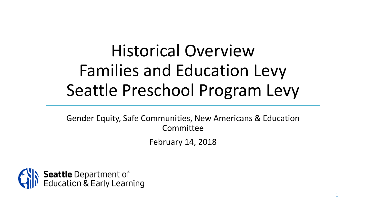# Historical Overview Families and Education Levy Seattle Preschool Program Levy

Gender Equity, Safe Communities, New Americans & Education Committee February 14, 2018

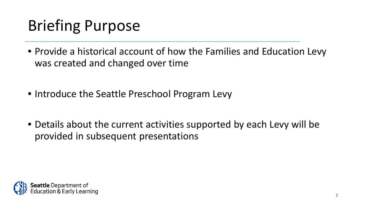#### Briefing Purpose

- Provide a historical account of how the Families and Education Levy was created and changed over time
- Introduce the Seattle Preschool Program Levy
- Details about the current activities supported by each Levy will be provided in subsequent presentations

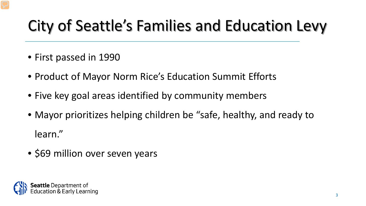## City of Seattle's Families and Education Levy

- First passed in 1990
- Product of Mayor Norm Rice's Education Summit Efforts
- Five key goal areas identified by community members
- Mayor prioritizes helping children be "safe, healthy, and ready to learn."
- \$69 million over seven years

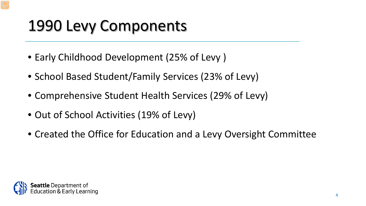#### 1990 Levy Components

- Early Childhood Development (25% of Levy )
- School Based Student/Family Services (23% of Levy)
- Comprehensive Student Health Services (29% of Levy)
- Out of School Activities (19% of Levy)
- Created the Office for Education and a Levy Oversight Committee

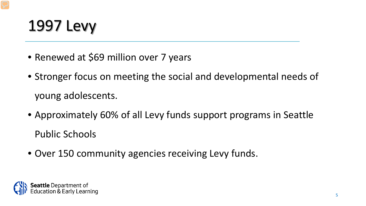#### 1997 Levy

- Renewed at \$69 million over 7 years
- Stronger focus on meeting the social and developmental needs of young adolescents.
- Approximately 60% of all Levy funds support programs in Seattle Public Schools
- Over 150 community agencies receiving Levy funds.

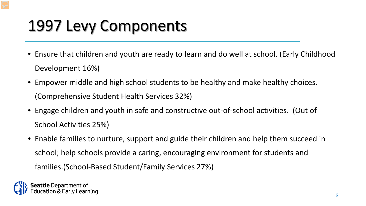#### 1997 Levy Components

- Ensure that children and youth are ready to learn and do well at school. (Early Childhood Development 16%)
- Empower middle and high school students to be healthy and make healthy choices. (Comprehensive Student Health Services 32%)
- Engage children and youth in safe and constructive out-of-school activities. (Out of School Activities 25%)
- Enable families to nurture, support and guide their children and help them succeed in school; help schools provide a caring, encouraging environment for students and families.(School-Based Student/Family Services 27%)

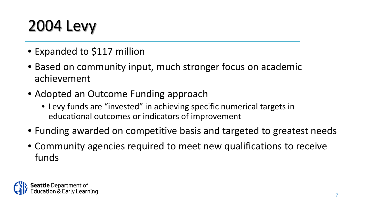# 2004 Levy

- Expanded to \$117 million
- Based on community input, much stronger focus on academic achievement
- Adopted an Outcome Funding approach
	- Levy funds are "invested" in achieving specific numerical targets in educational outcomes or indicators of improvement
- Funding awarded on competitive basis and targeted to greatest needs
- Community agencies required to meet new qualifications to receive funds

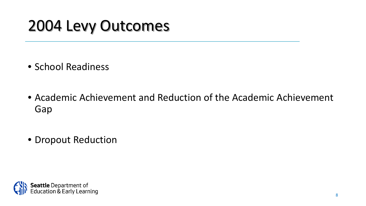#### 2004 Levy Outcomes

- School Readiness
- Academic Achievement and Reduction of the Academic Achievement Gap
- Dropout Reduction

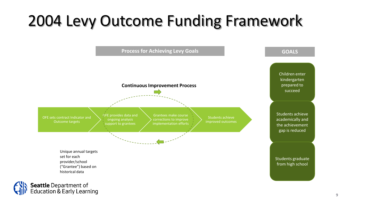#### 2004 Levy Outcome Funding Framework

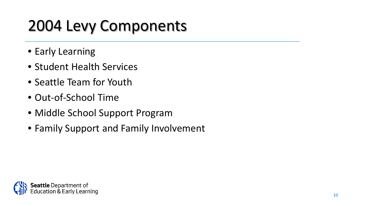## 2004 Levy Components

- Early Learning
- Student Health Services
- Seattle Team for Youth
- Out-of-School Time
- Middle School Support Program
- Family Support and Family Involvement

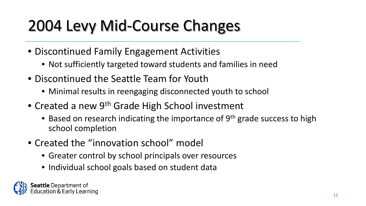## 2004 Levy Mid-Course Changes

- Discontinued Family Engagement Activities
	- Not sufficiently targeted toward students and families in need
- Discontinued the Seattle Team for Youth
	- Minimal results in reengaging disconnected youth to school
- Created a new 9<sup>th</sup> Grade High School investment
	- Based on research indicating the importance of 9<sup>th</sup> grade success to high school completion
- Created the "innovation school" model
	- Greater control by school principals over resources
	- Individual school goals based on student data

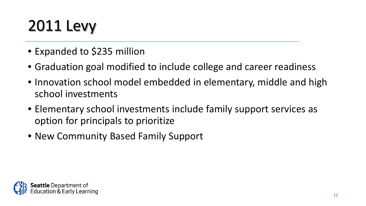# 2011 Levy

- Expanded to \$235 million
- Graduation goal modified to include college and career readiness
- Innovation school model embedded in elementary, middle and high school investments
- Elementary school investments include family support services as option for principals to prioritize
- New Community Based Family Support

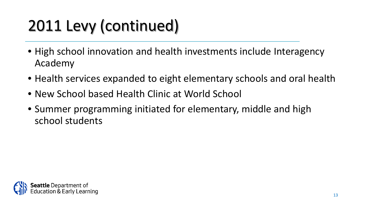# 2011 Levy (continued)

- High school innovation and health investments include Interagency Academy
- Health services expanded to eight elementary schools and oral health
- New School based Health Clinic at World School
- Summer programming initiated for elementary, middle and high school students

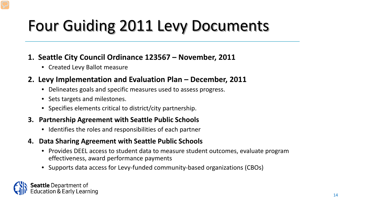# Four Guiding 2011 Levy Documents

- **1. Seattle City Council Ordinance 123567 – November, 2011**
	- Created Levy Ballot measure

#### **2. Levy Implementation and Evaluation Plan – December, 2011**

- Delineates goals and specific measures used to assess progress.
- Sets targets and milestones.
- Specifies elements critical to district/city partnership.
- **3. Partnership Agreement with Seattle Public Schools**
	- Identifies the roles and responsibilities of each partner
- **4. Data Sharing Agreement with Seattle Public Schools**
	- Provides DEEL access to student data to measure student outcomes, evaluate program effectiveness, award performance payments
	- Supports data access for Levy-funded community-based organizations (CBOs)

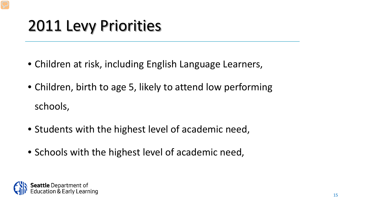#### 2011 Levy Priorities

- Children at risk, including English Language Learners,
- Children, birth to age 5, likely to attend low performing schools,
- Students with the highest level of academic need,
- Schools with the highest level of academic need,

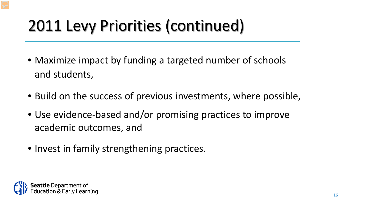## 2011 Levy Priorities (continued)

- Maximize impact by funding a targeted number of schools and students,
- Build on the success of previous investments, where possible,
- Use evidence-based and/or promising practices to improve academic outcomes, and
- Invest in family strengthening practices.

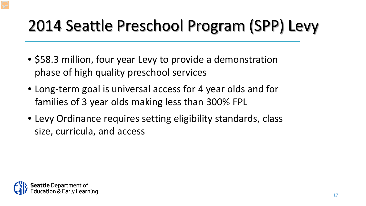# 2014 Seattle Preschool Program (SPP) Levy

- \$58.3 million, four year Levy to provide a demonstration phase of high quality preschool services
- Long-term goal is universal access for 4 year olds and for families of 3 year olds making less than 300% FPL
- Levy Ordinance requires setting eligibility standards, class size, curricula, and access